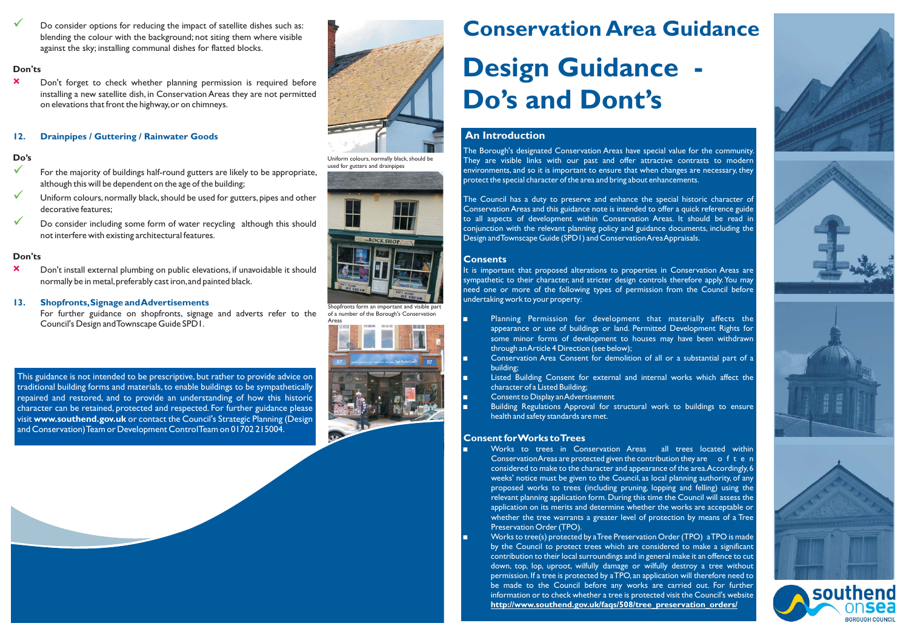# **Conservation Area Guidance**

## **Design Guidance - Do's and Dont's**

#### **An Introduction**

The Borough's designated Conservation Areas have special value for the community. They are visible links with our pas<sup>t</sup> and offer attractive contrasts to modern environments, and so it is important to ensure that when changes are necessary, they protect the special character of the area and bring about enhancements.

It is important that proposed alterations to properties in Conservation Areas are sympathetic to their character, and stricter design controls therefore apply.You may need one or more of the following types of permission from the Council before undertaking work to your property:

The Council has <sup>a</sup> duty to preserve and enhance the special historic character of ConservationAreas and this guidance note is intended to offer <sup>a</sup> quick reference guide to all aspects of development within Conservation Areas. It should be read in conjunction with the relevant planning policy and guidance documents, including the Design andTownscape Guide (SPD1) and ConservationAreaAppraisals.

- Planning Permission for development that materially affects the appearance or use of buildings or land. Permitted Development Rights for some minor forms of development to houses may have been withdrawn through anArticle 4 Direction (see below);
- Conservation Area Consent for demolition of all or <sup>a</sup> substantial par<sup>t</sup> of <sup>a</sup> building;
- Listed Building Consent for external and internal works which affect the character of <sup>a</sup> Listed Building; -
- Consent to Display anAdvertisement -
- Building Regulations Approval for structural work to buildings to ensure health and safety standards are met.

- Works to trees in Conservation Areas all trees located within Conservation Areas are protected given the contribution they are of ten considered to make to the character and appearance of the area.Accordingly,6 weeks' notice must be given to the Council, as local planning authority, of any proposed works to trees (including pruning, lopping and felling) using the relevant planning application form. During this time the Council will assess the application on its merits and determine whether the works are acceptable or whether the tree warrants <sup>a</sup> greater level of protection by means of <sup>a</sup> Tree Preservation Order (TPO).
- Works to tree(s) protected by aTree Preservation Order (TPO) aTPO is made by the Council to protect trees which are considered to make <sup>a</sup> significant contribution to their local surroundings and in general make it an offence to cut down, top, lop, uproot, wilfully damage or wilfully destroy <sup>a</sup> tree without permission.If <sup>a</sup> tree is protected by aTPO,an application will therefore need to be made to the Council before any works are carried out. For further information or to check whether <sup>a</sup> tree is protected visit the Council's website **http://www.southend.gov.uk/faqs/508/tree\_preservation\_orders/**



- $\checkmark$ For the majority of buildings half-round gutters are likely to be appropriate, although this will be dependent on the age of the building;
- $\checkmark$ Uniform colours, normally black, should be used for gutters, pipes and other decorative features;

 $\checkmark$ Do consider including some form of water recycling although this should not interfere with existing architectural features.

#### **Consents**

#### **Consent forWorks toTrees**

-

-

-

-

-

Do consider options for reducing the impact of satellite dishes such as: blending the colour with the background; not siting them where visible against the sky; installing communal dishes for flatted blocks.

#### **Don'ts**

 $\checkmark$ 

#### **Do's**

#### **Don'ts**

Don't forget to check whether planning permission is required before installing <sup>a</sup> new satellite dish, in Conservation Areas they are not permitted on elevations that front the highway,or on chimneys. **×**

Don't install external plumbing on public elevations, if unavoidable it should normally be in metal,preferably cast iron,and painted black. **×**

For further guidance on shopfronts, signage and adverts refer to the Council's Design andTownscape Guide SPD1.

#### **12. Drainpipes / Guttering / Rainwater Goods**

#### **13. Shopfronts,Signage andAdvertisements**

This guidance is not intended to be prescriptive, but rather to provide advice on traditional building forms and materials, to enable buildings to be sympathetically repaired and restored, and to provide an understanding of how this historic character can be retained, protected and respected. For further guidance please **visit www.southend.gov.uk** or contact the Council's Strategic Planning (Design and Conservation)Team or Development ControlTeam on 01702 215004.



Uniform colours, normally black, should be used for gutters and drainpipes



Shopfronts form an important and visible par<sup>t</sup> of <sup>a</sup> number of the Borough's Conservation

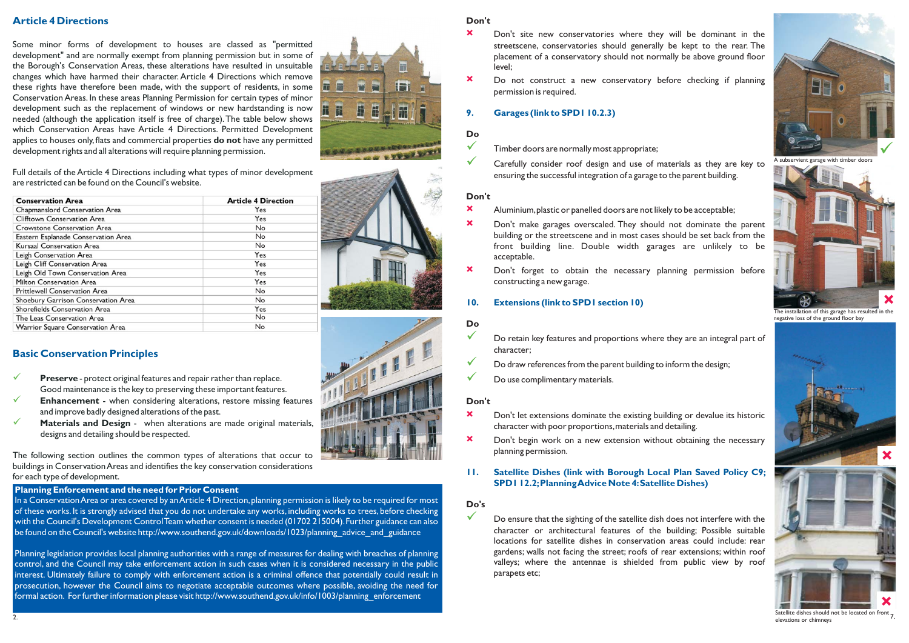### **Article 4 Directions**

## **Basic Conservation Principles**

- **Preserve** protect original features and repair rather than replace. Good maintenance is the key to preserving these important features.  $\checkmark$
- **Enhancement** when considering alterations, restore missing features and improve badly designed alterations of the past.  $\checkmark$
- **Materials and Design** when alterations are made original materials, designs and detailing should be respected.  $\checkmark$

Some minor forms of development to houses are classed as "permitted development" and are normally exemp<sup>t</sup> from planning permission but in some of the Borough's Conservation Areas, these alterations have resulted in unsuitable changes which have harmed their character. Article 4 Directions which remove these rights have therefore been made, with the suppor<sup>t</sup> of residents, in some Conservation Areas. In these areas Planning Permission for certain types of minor development such as the replacement of windows or new hardstanding is now needed (although the application itself is free of charge).The table below shows which Conservation Areas have Article 4 Directions. Permitted Development applies to houses only, flats and commercial properties  $\mathsf{do}$   $\mathsf{not}$  have any permitted development rights and all alterations will require planning permission.

#### **Do's**  $\checkmark$

Full details of the Article 4 Directions including what types of minor development are restricted can be found on the Council's website.

- Timber doors are normally most appropriate;  $\checkmark$
- Carefully consider roof design and use of materials as they are key to ensuring the successful integration of <sup>a</sup> garage to the paren<sup>t</sup> building.  $\checkmark$

- Do retain key features and proportions where they are an integral par<sup>t</sup> of character;  $\checkmark$
- Do draw references from the paren<sup>t</sup> building to inform the design;  $\checkmark$
- Do use complimentary materials.  $\checkmark$

The following section outlines the common types of alterations that occur to buildings in Conservation Areas and identifies the key conservation considerations for each type of development.

#### **Don't**

#### **Do**

#### **Don't**

#### **Do**

#### **Don't**

- Don't site new conservatories where they will be dominant in the streetscene, conservatories should generally be kept to the rear. The placement of <sup>a</sup> conservatory should not normally be above ground floor level; **×**
- Do not construct <sup>a</sup> new conservatory before checking if planning permission is required. **×**

- Aluminium,plastic or panelled doors are not likely to be acceptable; **×**
- Don't make garages overscaled. They should not dominate the paren<sup>t</sup> building or the streetscene and in most cases should be set back from the front building line. Double width garages are unlikely to be acceptable. **×**
- Don't forget to obtain the necessary planning permission before constructing <sup>a</sup> new garage. **×**
- **10. Extensions (link to SPD1 section 10)**

- Don't let extensions dominate the existing building or devalue its historic character with poor proportions,materials and detailing. **×**
- Don't begin work on <sup>a</sup> new extension without obtaining the necessary planning permission. **×**
- **11. Satellite Dishes (link with Borough Local Plan Saved Policy C9; SPD1 12.2;PlanningAdvice Note 4:Satellite Dishes)**

Do ensure that the sighting of the satellite dish does not interfere with the character or architectural features of the building; Possible suitable locations for satellite dishes in conservation areas could include: rear gardens; walls not facing the street; roofs of rear extensions; within roof valleys; where the antennae is shielded from public view by roof parapets etc;



#### **9. Garages (link to SPD1 10.2.3)**

| <b>Conservation Area</b>             | <b>Article 4 Direction</b> |
|--------------------------------------|----------------------------|
| Chapmanslord Conservation Area       | Yes                        |
| Clifftown Conservation Area          | Yes                        |
| Crowstone Conservation Area          | <b>No</b>                  |
| Eastern Esplanade Conservation Area  | No                         |
| Kursaal Conservation Area            | No                         |
| Leigh Conservation Area              | Yes                        |
| Leigh Cliff Conservation Area        | Yes                        |
| Leigh Old Town Conservation Area     | Yes                        |
| Milton Conservation Area             | Yes                        |
| <b>Prittlewell Conservation Area</b> | <b>No</b>                  |
| Shoebury Garrison Conservation Area  | <b>No</b>                  |
| Shorefields Conservation Area        | Yes                        |
| The Leas Conservation Area           | <b>No</b>                  |
| Warrior Square Conservation Area     | No                         |



installation of this garage has resulted in the negative loss of the ground floor bay



7. Satellite dishes should not be located on front elevations or chimneys



A subservient garage with timber doors

#### **Planning Enforcement and the need for Prior Consent**

In a Conservation Area or area covered by an Article 4 Direction, planning permission is likely to be required for most of these works. It is strongly advised that you do not undertake any works, including works to trees, before checking with the Council's Development ControlTeam whether consent is needed (01702 215004).Further guidance can also be found on the Council's website http://www.southend.gov.uk/downloads/1023/planning\_advice\_and\_guidance\_

Planning legislation provides local planning authorities with <sup>a</sup> range of measures for dealing with breaches of planning control, and the Council may take enforcement action in such cases when it is considered necessary in the public interest. Ultimately failure to comply with enforcement action is <sup>a</sup> criminal offence that potentially could result in prosecution, however the Council aims to negotiate acceptable outcomes where possible, avoiding the need for formal action. For further information please visit http://www.southend.gov.uk/info/1003/planning\_enforcement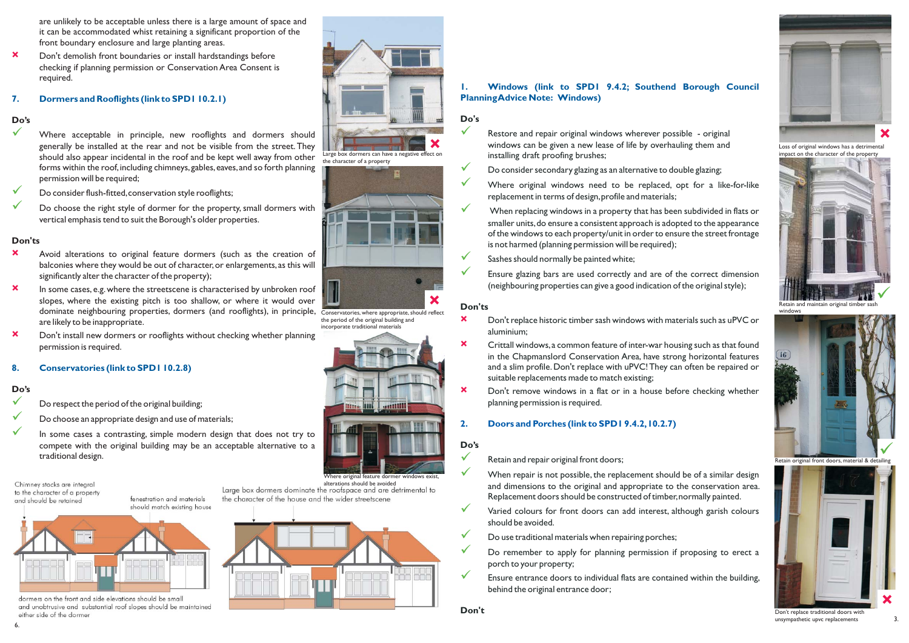- Retain and repair original front doors;
- When repair is not possible, the replacement should be of <sup>a</sup> similar design and dimensions to the original and appropriate to the conservation area. Replacement doors should be constructed of timber,normally painted.
- Varied colours for front doors can add interest, although garish colours should be avoided.  $\checkmark$
- Do use traditional materials when repairing porches;  $\checkmark$
- Do remember to apply for planning permission if proposing to erect <sup>a</sup> porch to your property;  $\checkmark$
- Ensure entrance doors to individual flats are contained within the building, behind the original entrance door;  $\checkmark$
- Don't replace historic timber sash windows with materials such as uPVC or aluminium; **×**
- Crittall windows,a common feature of inter-war housing such as that found in the Chapmanslord Conservation Area, have strong horizontal features and <sup>a</sup> slim profile. Don't replace with uPVC!They can often be repaired or suitable replacements made to match existing; **×**
- Don't remove windows in <sup>a</sup> flat or in <sup>a</sup> house before checking whether planning permission is required. **×**

#### **Do's**  $\checkmark$

 $\checkmark$  $\checkmark$ 

#### **Do's**

 $\checkmark$ 

- Restore and repair original windows wherever possible original **X** windows can be given a new lease of life by overhauling them and **Loss of original windows has a detrimental** installing draft proofing brushes;  $\checkmark$ 
	- Do consider secondary glazing as an alternative to double glazing;  $\checkmark$ 
		- Where original windows need to be replaced, op<sup>t</sup> for <sup>a</sup> like-for-like replacement in terms of design,profile and materials;
	- When replacing windows in <sup>a</sup> property that has been subdivided in flats or smaller units,do ensure <sup>a</sup> consistent approach is adopted to the appearance of the windows to each property/unit in order to ensure the street frontage is not harmed (planning permission will be required);  $\checkmark$
	- Sashes should normally be painted white;  $\checkmark$
	- Ensure glazing bars are used correctly and are of the correct dimension (neighbouring properties can give <sup>a</sup> good indication of the original style);  $\checkmark$

#### **Don'ts**

#### **Do's**

 $\checkmark$  $\checkmark$ 



## **2. Doors and Porches (link to SPD1 9.4.2,10.2.7)**

are unlikely to be acceptable unless there is <sup>a</sup> large amount of space and it can be accommodated whist retaining <sup>a</sup> significant proportion of the front boundary enclosure and large planting areas.

> alterations should be avoidedLarge box dormers dominate the roofspace and are detrimental to the character of the house and the wider streetscene



- Where acceptable in principle, new rooflights and dormers should generally be installed at the rear and not be visible from the street.They should also appear incidental in the roof and be kept well away from other forms within the roof, including chimneys, gables, eaves, and so forth planning permission will be required;
- Do consider flush-fitted,conservation style rooflights;
- Do choose the right style of dormer for the property, small dormers with vertical emphasis tend to suit the Borough's older properties.

- Avoid alterations to original feature dormers (such as the creation of balconies where they would be out of character, or enlargements, as this will significantly alter the character of the property); **×**
- In some cases, e.g. where the streetscene is characterised by unbroken roof slopes, where the existing pitch is too shallow, or where it would over dominate neighbouring properties, dormers (and rooflights), in principle, Conservatories, where appropriate, should reflect are likely to be inappropriate. **×**
- Don't install new dormers or rooflights without checking whether planning permission is required. **×**

Don't demolish front boundaries or install hardstandings before checking if planning permission or Conservation Area Consent is required. **×**

- Do respec<sup>t</sup> the period of the original building;
- Do choose an appropriate design and use of materials;
- In some cases <sup>a</sup> contrasting, simple modern design that does not try to compete with the original building may be an acceptable alternative to <sup>a</sup> traditional design.

#### **Don'ts**

#### **Do's**

 $\checkmark$  $\checkmark$  $\checkmark$ 

#### **7. Dormers and Rooflights (link to SPD1 10.2.1)**

#### **8. Conservatories (link to SPD1 10.2.8)**



Retain original front doors, material & deta

**×**

**×**



impact on the character of the property



Retain and maintain original timber sash windows



Don't replace traditional doors with unsympathetic upvc replacements

6.

Large box dormers can have <sup>a</sup> negative effect on

the character of <sup>a</sup> property

the period of the original building and incorporate traditional materials

Chimney stacks are intearal to the character of a property and should be retained





dormers on the front and side elevations should be small and unobtrusive and substantial roof slopes should be maintained either side of the dormer